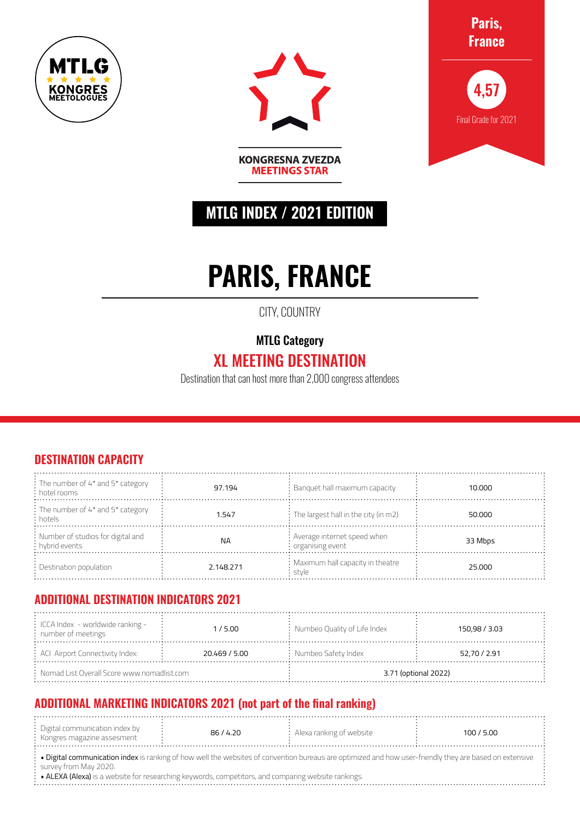





**MTLG INDEX / 2021 EDITION**

**KONGRESNA ZVEZDA MEETINGS STAR** 

# **PARIS, FRANCE**

CITY, COUNTRY

### MTLG Category

## XL MEETING DESTINATION

Destination that can host more than 2,000 congress attendees

#### **DESTINATION CAPACITY**

| $\frac{1}{2}$ The number of 4* and 5* category<br>: hotel rooms | 97.194    | $:$ Banquet hall maximum capacity                         | 10.000  |
|-----------------------------------------------------------------|-----------|-----------------------------------------------------------|---------|
| : The number of 4* and 5* category<br>: hotels                  | 1.547     | $\div$ The largest hall in the city (in m2)               | 50,000  |
| : Number of studios for digital and<br>: hybrid events          | <b>NA</b> | : Average internet speed when<br>$\cdot$ organising event | 33 Mbps |
| $\therefore$ Destination population                             | 2.148.271 | : Maximum hall capacity in theatre<br>stvle               | 25.000  |

#### **ADDITIONAL DESTINATION INDICATORS 2021**

| $\frac{1}{2}$ ICCA Index - worldwide ranking -<br>$:$ number of meetings | 1/5.00        | : Numbeo Quality of Life Index | 150,98 / 3.03 |  |
|--------------------------------------------------------------------------|---------------|--------------------------------|---------------|--|
| $\div$ ACI Airport Connectivity Index:                                   | 20.469 / 5.00 | $:$ Numbeo Safety Index        | 52,70 / 2.91  |  |
| $:$ Nomad List Overall Score www.nomadlist.com                           |               | 3.71 (optional 2022)           |               |  |

#### **ADDITIONAL MARKETING INDICATORS 2021 (not part of the final ranking)**

| Digital communication index by<br>: Kongres magazine assesment | 86/4.20 | $\therefore$ Alexa ranking of website | 100 / 5.00 |
|----------------------------------------------------------------|---------|---------------------------------------|------------|
|                                                                |         |                                       |            |

• Digital communication index is ranking of how well the websites of convention bureaus are optimized and how user-friendly they are based on extensive survey from May 2020.

• ALEXA (Alexa) is a website for researching keywords, competitors, and comparing website rankings.